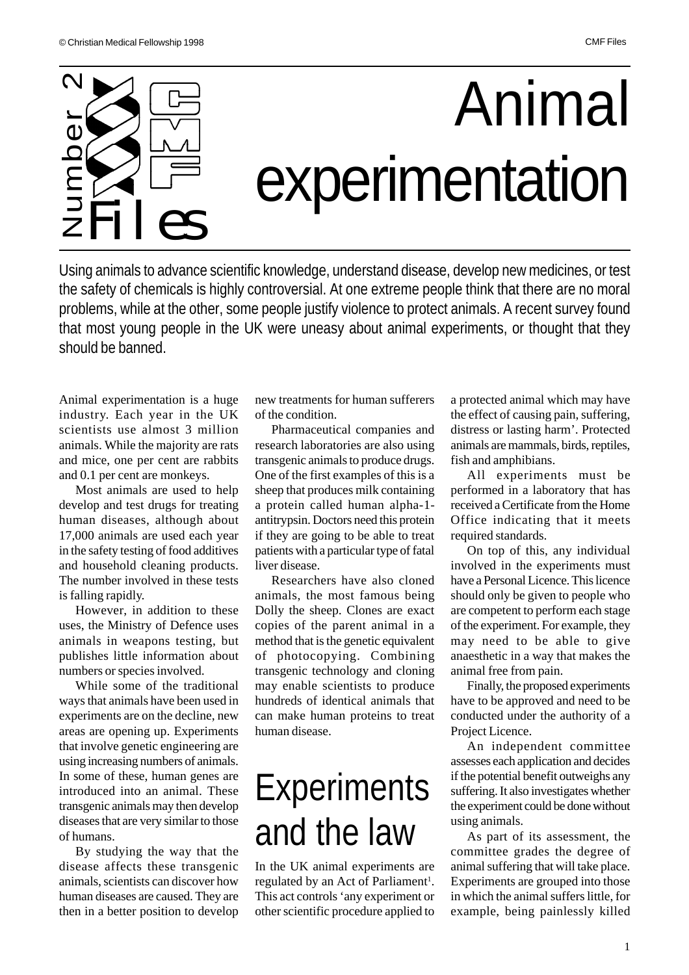

Using animals to advance scientific knowledge, understand disease, develop new medicines, or test the safety of chemicals is highly controversial. At one extreme people think that there are no moral problems, while at the other, some people justify violence to protect animals. A recent survey found that most young people in the UK were uneasy about animal experiments, or thought that they

Animal experimentation is a huge industry. Each year in the UK scientists use almost 3 million animals. While the majority are rats and mice, one per cent are rabbits and 0.1 per cent are monkeys.

Most animals are used to help develop and test drugs for treating human diseases, although about 17,000 animals are used each year in the safety testing of food additives and household cleaning products. The number involved in these tests is falling rapidly.

However, in addition to these uses, the Ministry of Defence uses animals in weapons testing, but publishes little information about numbers or species involved.

While some of the traditional ways that animals have been used in experiments are on the decline, new areas are opening up. Experiments that involve genetic engineering are using increasing numbers of animals. In some of these, human genes are introduced into an animal. These transgenic animals may then develop diseases that are very similar to those of humans.

By studying the way that the disease affects these transgenic animals, scientists can discover how human diseases are caused. They are then in a better position to develop

new treatments for human sufferers of the condition.

Pharmaceutical companies and research laboratories are also using transgenic animals to produce drugs. One of the first examples of this is a sheep that produces milk containing a protein called human alpha-1 antitrypsin. Doctors need this protein if they are going to be able to treat patients with a particular type of fatal liver disease.

Researchers have also cloned animals, the most famous being Dolly the sheep. Clones are exact copies of the parent animal in a method that is the genetic equivalent of photocopying. Combining transgenic technology and cloning may enable scientists to produce hundreds of identical animals that can make human proteins to treat human disease.

# **Experiments** and the law

In the UK animal experiments are regulated by an Act of Parliament<sup>1</sup>. This act controls 'any experiment or other scientific procedure applied to

a protected animal which may have the effect of causing pain, suffering, distress or lasting harm'. Protected animals are mammals, birds, reptiles, fish and amphibians.

All experiments must be performed in a laboratory that has received a Certificate from the Home Office indicating that it meets required standards.

On top of this, any individual involved in the experiments must have a Personal Licence. This licence should only be given to people who are competent to perform each stage of the experiment. For example, they may need to be able to give anaesthetic in a way that makes the animal free from pain.

Finally, the proposed experiments have to be approved and need to be conducted under the authority of a Project Licence.

An independent committee assesses each application and decides if the potential benefit outweighs any suffering. It also investigates whether the experiment could be done without using animals.

As part of its assessment, the committee grades the degree of animal suffering that will take place. Experiments are grouped into those in which the animal suffers little, for example, being painlessly killed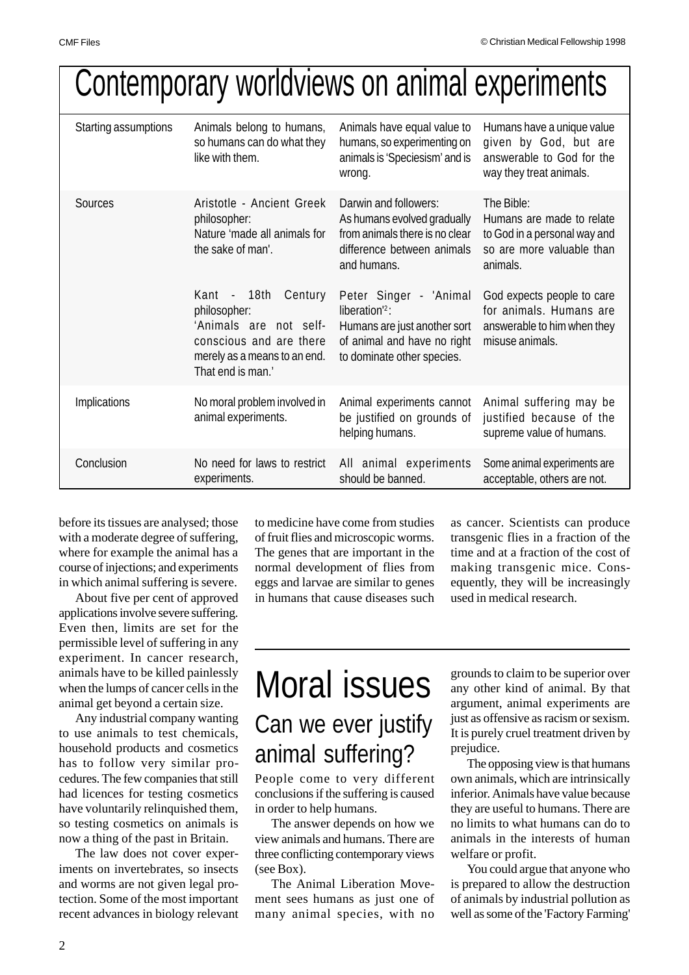# Contemporary worldviews on animal experiments

| Starting assumptions | Animals belong to humans,<br>so humans can do what they<br>like with them.                                                                    | Animals have equal value to<br>humans, so experimenting on<br>animals is 'Speciesism' and is<br>wrong.                                  | Humans have a unique value<br>given by God, but are<br>answerable to God for the<br>way they treat animals.      |
|----------------------|-----------------------------------------------------------------------------------------------------------------------------------------------|-----------------------------------------------------------------------------------------------------------------------------------------|------------------------------------------------------------------------------------------------------------------|
| Sources              | Aristotle - Ancient Greek<br>philosopher:<br>Nature 'made all animals for<br>the sake of man'.                                                | Darwin and followers:<br>As humans evolved gradually<br>from animals there is no clear<br>difference between animals<br>and humans.     | The Bible:<br>Humans are made to relate<br>to God in a personal way and<br>so are more valuable than<br>animals. |
|                      | Kant - 18th Century<br>philosopher:<br>'Animals are not self-<br>conscious and are there<br>merely as a means to an end.<br>That end is man.' | Peter Singer - 'Animal<br>liberation $2$ :<br>Humans are just another sort<br>of animal and have no right<br>to dominate other species. | God expects people to care<br>for animals. Humans are<br>answerable to him when they<br>misuse animals.          |
| Implications         | No moral problem involved in<br>animal experiments.                                                                                           | Animal experiments cannot<br>be justified on grounds of<br>helping humans.                                                              | Animal suffering may be<br>justified because of the<br>supreme value of humans.                                  |
| Conclusion           | No need for laws to restrict<br>experiments.                                                                                                  | All animal experiments<br>should be banned.                                                                                             | Some animal experiments are<br>acceptable, others are not.                                                       |

before its tissues are analysed; those with a moderate degree of suffering, where for example the animal has a course of injections; and experiments in which animal suffering is severe.

About five per cent of approved applications involve severe suffering. Even then, limits are set for the permissible level of suffering in any experiment. In cancer research, animals have to be killed painlessly when the lumps of cancer cells in the animal get beyond a certain size.

Any industrial company wanting to use animals to test chemicals, household products and cosmetics has to follow very similar procedures. The few companies that still had licences for testing cosmetics have voluntarily relinquished them, so testing cosmetics on animals is now a thing of the past in Britain.

The law does not cover experiments on invertebrates, so insects and worms are not given legal protection. Some of the most important recent advances in biology relevant to medicine have come from studies of fruit flies and microscopic worms. The genes that are important in the normal development of flies from eggs and larvae are similar to genes in humans that cause diseases such

as cancer. Scientists can produce transgenic flies in a fraction of the time and at a fraction of the cost of making transgenic mice. Consequently, they will be increasingly used in medical research.

### Moral issues Can we ever justify animal suffering?

People come to very different conclusions if the suffering is caused in order to help humans.

The answer depends on how we view animals and humans. There are three conflicting contemporary views (see Box).

The Animal Liberation Movement sees humans as just one of many animal species, with no

grounds to claim to be superior over any other kind of animal. By that argument, animal experiments are just as offensive as racism or sexism. It is purely cruel treatment driven by prejudice.

The opposing view is that humans own animals, which are intrinsically inferior. Animals have value because they are useful to humans. There are no limits to what humans can do to animals in the interests of human welfare or profit.

You could argue that anyone who is prepared to allow the destruction of animals by industrial pollution as well as some of the 'Factory Farming'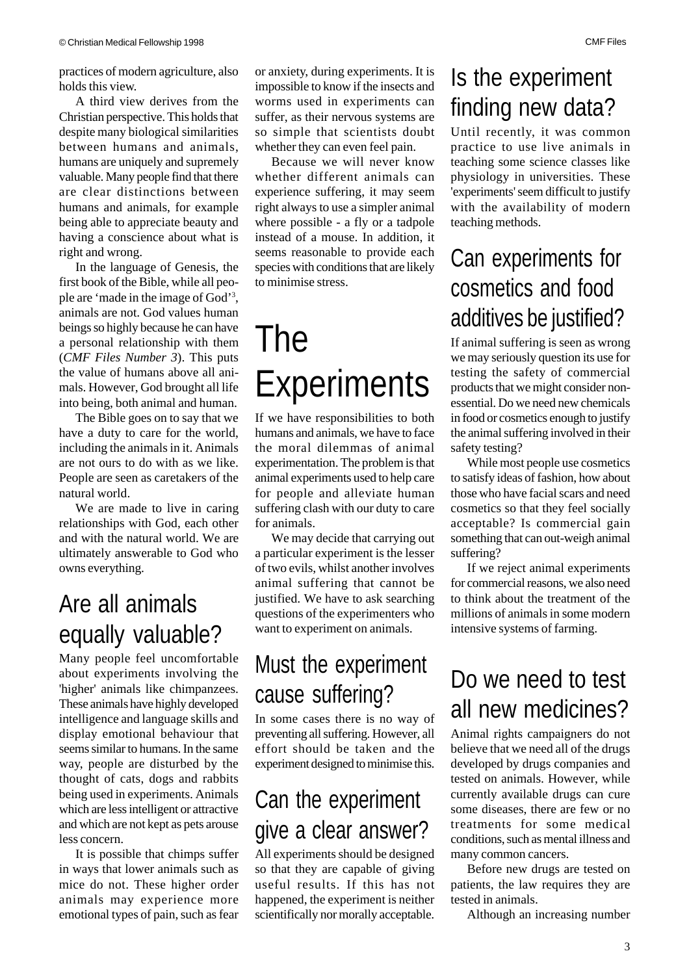practices of modern agriculture, also holds this view.

A third view derives from the Christian perspective. This holds that despite many biological similarities between humans and animals, humans are uniquely and supremely valuable. Many people find that there are clear distinctions between humans and animals, for example being able to appreciate beauty and having a conscience about what is right and wrong.

In the language of Genesis, the first book of the Bible, while all people are 'made in the image of God'<sup>3</sup> , animals are not. God values human beings so highly because he can have a personal relationship with them (*CMF Files Number 3*). This puts the value of humans above all animals. However, God brought all life into being, both animal and human.

The Bible goes on to say that we have a duty to care for the world, including the animals in it. Animals are not ours to do with as we like. People are seen as caretakers of the natural world.

We are made to live in caring relationships with God, each other and with the natural world. We are ultimately answerable to God who owns everything.

#### Are all animals equally valuable?

Many people feel uncomfortable about experiments involving the 'higher' animals like chimpanzees. These animals have highly developed intelligence and language skills and display emotional behaviour that seems similar to humans. In the same way, people are disturbed by the thought of cats, dogs and rabbits being used in experiments. Animals which are less intelligent or attractive and which are not kept as pets arouse less concern.

It is possible that chimps suffer in ways that lower animals such as mice do not. These higher order animals may experience more emotional types of pain, such as fear

or anxiety, during experiments. It is impossible to know if the insects and worms used in experiments can suffer, as their nervous systems are so simple that scientists doubt whether they can even feel pain.

Because we will never know whether different animals can experience suffering, it may seem right always to use a simpler animal where possible - a fly or a tadpole instead of a mouse. In addition, it seems reasonable to provide each species with conditions that are likely to minimise stress.

## The **Experiments**

If we have responsibilities to both humans and animals, we have to face the moral dilemmas of animal experimentation. The problem is that animal experiments used to help care for people and alleviate human suffering clash with our duty to care for animals.

We may decide that carrying out a particular experiment is the lesser of two evils, whilst another involves animal suffering that cannot be justified. We have to ask searching questions of the experimenters who want to experiment on animals.

#### Must the experiment cause suffering?

In some cases there is no way of preventing all suffering. However, all effort should be taken and the experiment designed to minimise this.

#### Can the experiment give a clear answer?

All experiments should be designed so that they are capable of giving useful results. If this has not happened, the experiment is neither scientifically nor morally acceptable.

#### Is the experiment finding new data?

Until recently, it was common practice to use live animals in teaching some science classes like physiology in universities. These 'experiments' seem difficult to justify with the availability of modern teaching methods.

#### Can experiments for cosmetics and food additives be justified?

If animal suffering is seen as wrong we may seriously question its use for testing the safety of commercial products that we might consider nonessential. Do we need new chemicals in food or cosmetics enough to justify the animal suffering involved in their safety testing?

While most people use cosmetics to satisfy ideas of fashion, how about those who have facial scars and need cosmetics so that they feel socially acceptable? Is commercial gain something that can out-weigh animal suffering?

If we reject animal experiments for commercial reasons, we also need to think about the treatment of the millions of animals in some modern intensive systems of farming.

#### Do we need to test all new medicines?

Animal rights campaigners do not believe that we need all of the drugs developed by drugs companies and tested on animals. However, while currently available drugs can cure some diseases, there are few or no treatments for some medical conditions, such as mental illness and many common cancers.

Before new drugs are tested on patients, the law requires they are tested in animals.

Although an increasing number